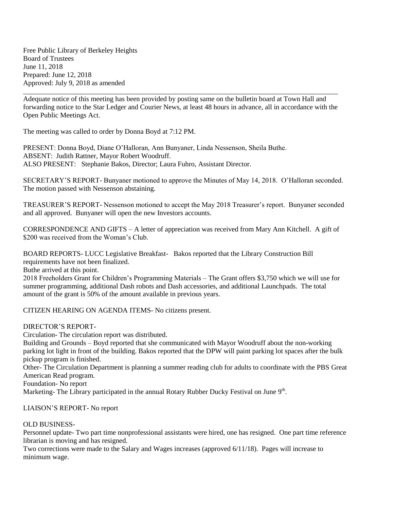Free Public Library of Berkeley Heights Board of Trustees June 11, 2018 Prepared: June 12, 2018 Approved: July 9, 2018 as amended

\_\_\_\_\_\_\_\_\_\_\_\_\_\_\_\_\_\_\_\_\_\_\_\_\_\_\_\_\_\_\_\_\_\_\_\_\_\_\_\_\_\_\_\_\_\_\_\_\_\_\_\_\_\_\_\_\_\_\_\_\_\_\_\_\_\_\_\_\_\_\_\_\_\_\_\_\_\_\_\_\_\_\_\_\_\_\_\_\_ Adequate notice of this meeting has been provided by posting same on the bulletin board at Town Hall and forwarding notice to the Star Ledger and Courier News, at least 48 hours in advance, all in accordance with the Open Public Meetings Act.

The meeting was called to order by Donna Boyd at 7:12 PM.

PRESENT: Donna Boyd, Diane O'Halloran, Ann Bunyaner, Linda Nessenson, Sheila Buthe. ABSENT: Judith Rattner, Mayor Robert Woodruff. ALSO PRESENT: Stephanie Bakos, Director; Laura Fuhro, Assistant Director.

SECRETARY'S REPORT- Bunyaner motioned to approve the Minutes of May 14, 2018. O'Halloran seconded. The motion passed with Nessenson abstaining.

TREASURER'S REPORT- Nessenson motioned to accept the May 2018 Treasurer's report. Bunyaner seconded and all approved. Bunyaner will open the new Investors accounts.

CORRESPONDENCE AND GIFTS – A letter of appreciation was received from Mary Ann Kitchell. A gift of \$200 was received from the Woman's Club.

BOARD REPORTS- LUCC Legislative Breakfast- Bakos reported that the Library Construction Bill requirements have not been finalized.

Buthe arrived at this point.

2018 Freeholders Grant for Children's Programming Materials – The Grant offers \$3,750 which we will use for summer programming, additional Dash robots and Dash accessories, and additional Launchpads. The total amount of the grant is 50% of the amount available in previous years.

CITIZEN HEARING ON AGENDA ITEMS- No citizens present.

DIRECTOR'S REPORT-

Circulation- The circulation report was distributed.

Building and Grounds – Boyd reported that she communicated with Mayor Woodruff about the non-working parking lot light in front of the building. Bakos reported that the DPW will paint parking lot spaces after the bulk pickup program is finished.

Other- The Circulation Department is planning a summer reading club for adults to coordinate with the PBS Great American Read program.

Foundation- No report

Marketing- The Library participated in the annual Rotary Rubber Ducky Festival on June 9<sup>th</sup>.

## LIAISON'S REPORT- No report

## OLD BUSINESS-

Personnel update- Two part time nonprofessional assistants were hired, one has resigned. One part time reference librarian is moving and has resigned.

Two corrections were made to the Salary and Wages increases (approved 6/11/18). Pages will increase to minimum wage.